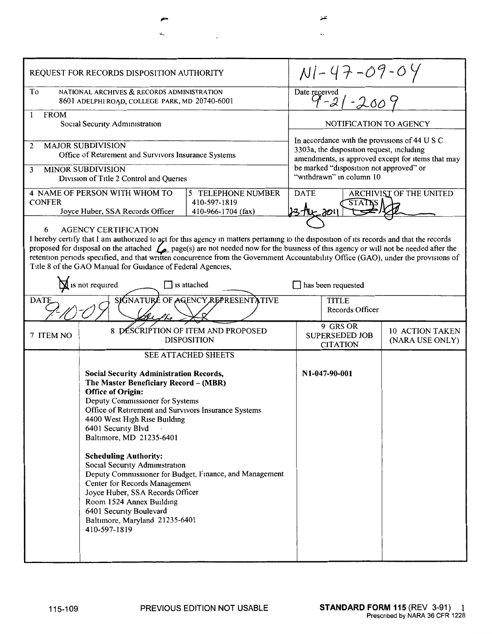| REQUEST FOR RECORDS DISPOSITION AUTHORITY                                                                                                                                                                                                                                                                                                                                                                                                                                                                                                                                                                                                                                             |                                                          |  |                                                                                                                                                 | $N1 - 47 - 09 - 04$                      |                                    |  |
|---------------------------------------------------------------------------------------------------------------------------------------------------------------------------------------------------------------------------------------------------------------------------------------------------------------------------------------------------------------------------------------------------------------------------------------------------------------------------------------------------------------------------------------------------------------------------------------------------------------------------------------------------------------------------------------|----------------------------------------------------------|--|-------------------------------------------------------------------------------------------------------------------------------------------------|------------------------------------------|------------------------------------|--|
| To<br>NATIONAL ARCHIVES & RECORDS ADMINISTRATION<br>8601 ADELPHI ROAD, COLLEGE PARK, MD 20740-6001                                                                                                                                                                                                                                                                                                                                                                                                                                                                                                                                                                                    |                                                          |  | Date received<br>$9 - 21 - 2009$                                                                                                                |                                          |                                    |  |
| <b>FROM</b><br>1<br>Social Security Administration                                                                                                                                                                                                                                                                                                                                                                                                                                                                                                                                                                                                                                    |                                                          |  | NOTIFICATION TO AGENCY                                                                                                                          |                                          |                                    |  |
| <b>MAJOR SUBDIVISION</b><br>2<br>Office of Retirement and Survivors Insurance Systems                                                                                                                                                                                                                                                                                                                                                                                                                                                                                                                                                                                                 |                                                          |  | In accordance with the provisions of 44 U S C<br>3303a, the disposition request, including<br>amendments, is approved except for items that may |                                          |                                    |  |
| <b>MINOR SUBDIVISION</b><br>3<br>Division of Title 2 Control and Queries                                                                                                                                                                                                                                                                                                                                                                                                                                                                                                                                                                                                              |                                                          |  | be marked "disposition not approved" or<br>"withdrawn" in column 10                                                                             |                                          |                                    |  |
| <b>4 NAME OF PERSON WITH WHOM TO</b><br>5 TELEPHONE NUMBER<br><b>CONFER</b><br>410-597-1819<br>410-966-1704 (fax)<br>Joyce Huber, SSA Records Officer                                                                                                                                                                                                                                                                                                                                                                                                                                                                                                                                 |                                                          |  | ARCHIVIST OF THE UNITED<br><b>DATE</b><br><b>STATKS</b><br>23 the 201                                                                           |                                          |                                    |  |
| <b>AGENCY CERTIFICATION</b><br>6<br>I hereby certify that I am authorized to act for this agency in matters pertaining to the disposition of its records and that the records<br>proposed for disposal on the attached $\mathcal{L}_{\mathbb{Z}}$ page(s) are not needed now for the business of this agency or will not be needed after the<br>retention periods specified, and that written concurrence from the Government Accountability Office (GAO), under the provisions of<br>Title 8 of the GAO Manual for Guidance of Federal Agencies,<br>$\sum$ is not required<br>has been requested<br>is attached<br>SIGNATURE OF AGENCY REPRESENTATIVE<br><b>TITLE</b><br><b>DATE</b> |                                                          |  |                                                                                                                                                 |                                          |                                    |  |
|                                                                                                                                                                                                                                                                                                                                                                                                                                                                                                                                                                                                                                                                                       |                                                          |  | Records Officer<br>9 GRS OR                                                                                                                     |                                          |                                    |  |
| 7 ITEM NO                                                                                                                                                                                                                                                                                                                                                                                                                                                                                                                                                                                                                                                                             | 8 DESCRIPTION OF ITEM AND PROPOSED<br><b>DISPOSITION</b> |  |                                                                                                                                                 | <b>SUPERSEDED JOB</b><br><b>CITATION</b> | 10 ACTION TAKEN<br>(NARA USE ONLY) |  |
| <b>SEE ATTACHED SHEETS</b><br><b>Social Security Administration Records,</b><br>The Master Beneficiary Record - (MBR)<br><b>Office of Origin:</b><br>Deputy Commissioner for Systems<br>Office of Retirement and Survivors Insurance Systems<br>4400 West High Rise Building<br>6401 Security Blvd<br>Baltimore, MD 21235-6401<br><b>Scheduling Authority:</b><br>Social Security Administration<br>Deputy Commissioner for Budget, Finance, and Management<br>Center for Records Management<br>Joyce Huber, SSA Records Officer<br>Room 1524 Annex Building<br>6401 Security Boulevard<br>Baltimore, Maryland 21235-6401<br>410-597-1819                                             |                                                          |  | N1-047-90-001                                                                                                                                   |                                          |                                    |  |

 $\overline{\mathbf{r}}$ 

,-

 $\mathbf{a}$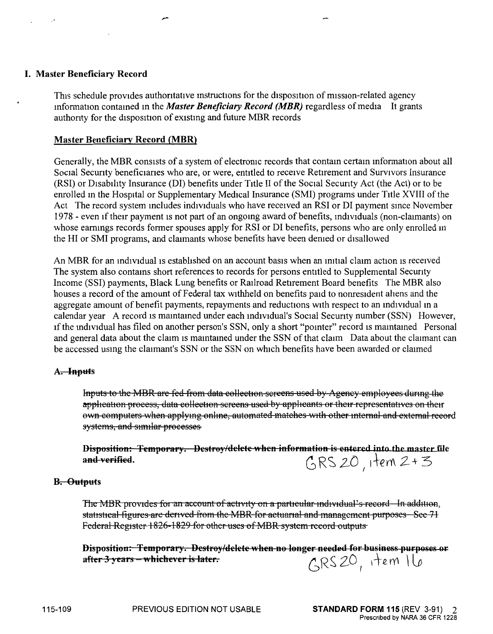### I. **Master Beneficiary Record**

This schedule provides authoritative instructions for the disposition of mission-related agency mformation contamed m the *Master Beneficiary Record (MBR)* regardless of media It grants authonty for the disposition of existmg and future MBR records

#### **Master Beneficiary Record (MBR)**

Generally, the MBR consists of a system of electronic records that contain certain information about all Social Security beneficiaries who are, or were, entitled to receive Retirement and Survivors Insurance (RSI) or Disability Insurance (DI) benefits under Title II of the Social Security Act (the Act) or to be enrolled m the Hospital or Supplementary Medical Insurance (SMI) programs under Title XVIII of the Act The record system includes individuals who have received an RSI or DI payment since November 1978 - even if their payment is not part of an ongoing award of benefits, individuals (non-claimants) on whose earnings records former spouses apply for RSI or DI benefits, persons who are only enrolled in the HI or SMI programs, and claimants whose benefits have been denied or disallowed

An MBR for an individual is established on an account basis when an initial claim action is received The system also contams short references to records for persons entitled to Supplemental Secunty Income (SSI) payments, Black Lung benefits or Railroad Retirement Board benefits The MBR also houses a record of the amount of Federal tax withheld on benefits paid to nonresident ahens and the aggregate amount of benefit payments, repayments and reductions with respect to an individual in a calendar year A record is mamtamed under each md1v1dual's Social Secunty number (SSN) However, 1f the mdividual has filed on another person's SSN, only a short "pomter" record is mamtamed Personal and general data about the claim is mamtamed under the SSN of that claim Data about the claimant can be accessed usmg the claimant's SSN or the SSN on which benefits have been awarded or clauned

#### **A. Inputs**

Inputs to the MBR are fed from data collection screens used by Agency employees during the application process, data collection screens used by applicants or their representatives on their own computers when applying online, automated matches with other internal and external record systems, and similar processes

Disposition: Temporary. Destroy/delete when information is entered into the master file and verified.  $GRS$  20, item  $2+3$ 

#### **B. Outputs**

The MBR provides for an account of activity on a particular individual's record In addition, statistical figures are derived from the MBR for actuarial and management purposes Sec 71 Federal Register 1826-1829 for other uses of MBR system record outputs

**Disposition: Temporary. Destroy/delete when no longer needed for business purposes or**  $\frac{1}{2}$  after 3 years – whichever is later.  $\frac{1}{2}$   $\frac{1}{2}$   $\frac{1}{2}$   $\frac{1}{2}$   $\frac{1}{2}$   $\frac{1}{2}$ 

1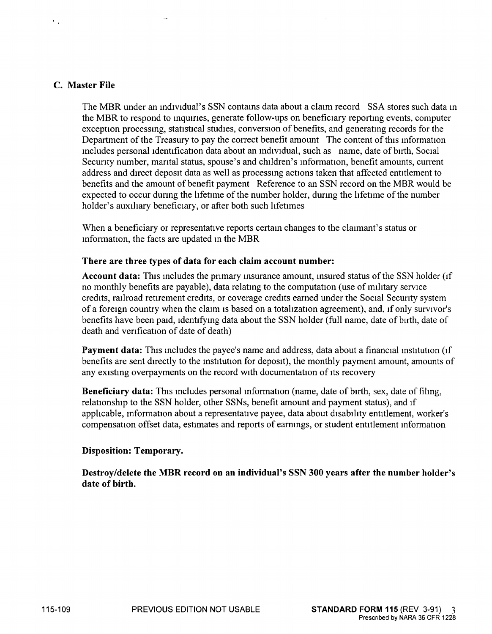### **C. Master File**

 $\mathbf{r}$  .

The MBR under an individual's SSN contains data about a claim record SSA stores such data in the MBR to respond to inquiries, generate follow-ups on beneficiary reporting events, computer exception processing, statistical studies, conversion of benefits, and generating records for the Department of the Treasury to pay the correct benefit amount The content of this information includes personal identification data about an mdividual, such as name, date of birth, Social Security number, marital status, spouse's and children's information, benefit amounts, current address and direct deposit data as well as processmg actions taken that affected entitlement to benefits and the amount of benefit payment Reference to an SSN record on the MBR would be expected to occur during the lifetime of the number holder, durmg the lifetime of the number holder's auxiliary beneficiary, or after both such lifetimes

When a beneficiary or representative reports certain changes to the claimant's status or information, the facts are updated m the MBR

#### **There are three types of data for each claim account number:**

**Account data:** This includes the primary insurance amount, insured status of the SSN holder (if no monthly benefits are payable), data relating to the computation (use of military service credits, railroad retirement credits, or coverage credits earned under the Social Security system of a foreign country when the claim is based on a totalizatlon agreement), and, if only survivor's benefits have been paid, identifymg data about the SSN holder (full name, date of birth, date of death and verification of date of death)

**Payment data:** This includes the payee's name and address, data about a financial institution (if benefits are sent directly to the institution for deposit), the monthly payment amount, amounts of any existing overpayments on the record with documentation of its recovery

**Beneficiary data:** This includes personal information (name, date of birth, sex, date of filing, relationship to the SSN holder, other SSNs, benefit amount and payment status), and if applicable, information about a representative payee, data about disability entitlement, worker's compensation offset data, estimates and reports of eammgs, or student entitlement mformation

#### **Disposition: Temporary.**

**Destroy/delete the MBR record on an individual's SSN 300 years after the number holder's date of birth.**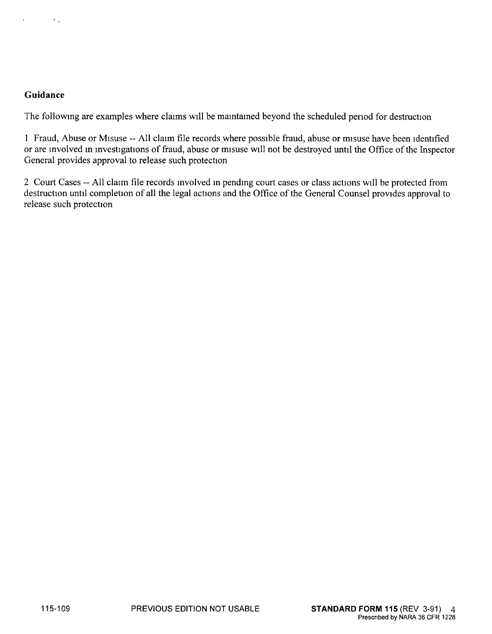$\mathcal{C}_{\mathcal{A}}$ 

The followmg are examples where claims will be mamtamed beyond the scheduled penod for destruction

I Fraud, Abuse or Misuse -- All claun file records where possible fraud, abuse or misuse have been identified or are mvolved m mvestigations of fraud, abuse or misuse will not be destroyed until the Office of the Inspector General provides approval to release such protection

2 Court Cases -- All claim file records mvolved m pendmg court cases or class actions will be protected from destruction until completion of all the legal actions and the Office of the General Counsel provides approval to release such protection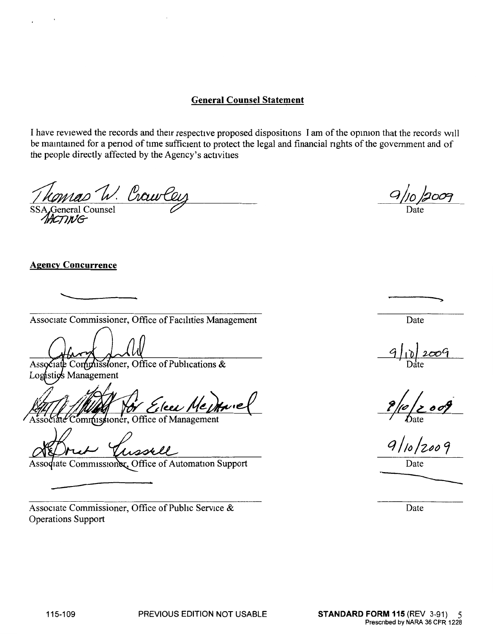## **General Counsel Statement**

I have reviewed the records and their respective proposed dispositions I am of the opinion that the records will be mamtamed for a penod of time sufficient to protect the legal and financial nghts of the government and of the people directly affected by the Agency's activities

komas W. Crowt  $\frac{WU}{W}$ <br>Feneral Counsel<br> $T W$ G

# **Agency Concurrence**   $\overline{\phantom{a}}$

Associate Commissioner, Office of Facilities Management

Commissioner, Office of Publications & Associat Logistics Management

ommissioner, Office of Management

Associate Commissioner, Office of Automation Support

Associate Commissioner, Office of Pubhc Service & Operations Support

Date

Date

 $9/10$ 

 $9/10/2009$ 

-------- Date

Date

**PREVIOUS EDITION NOT USABLE**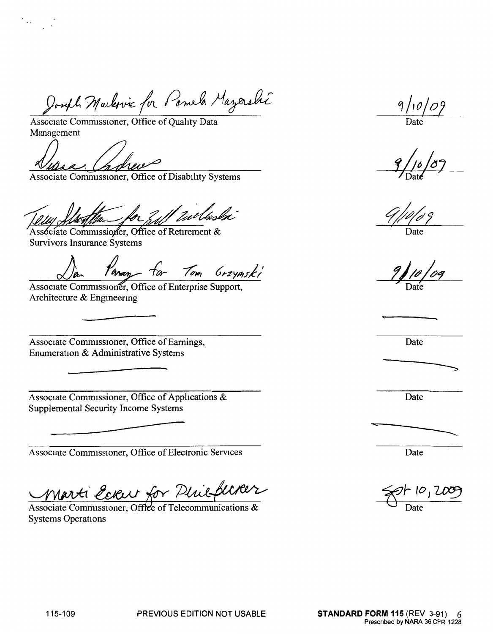Joseph Markevic for Pamela Mazershi Joseph Marlewic for Pames<br>ssociate Commissioner, Office of Quality<br>danagement<br>en Caroline Commissioner, Office of Disabil

Associate Commissioner, Office of Quality Data Management

Mas Cholier Commissioner, Office of Disability Systems

11 Willaski

Associate Commissioner, Office of Retirement & Survivors Insurance Systems

Panan for Tom Grzymski

Associate Commissioner, Office of Enterprise Support, Architecture & Engmeermg

Associate Commissioner, Office of Earnings, Date Enumeration & Administrative Systems

Associate Commissioner, Office of Applications & Date Supplemental Security Income Systems

Associate Commissioner, Office of Electronic Services Date

Associate Commissioner, Office of Electronic Services<br> *Marti Ecleur for Pluisflurer*<br>
Associate Commissioner, Office of Telecommunications &

Systems Operations

 $9/10/09$ 

Date

`

-----

 $\rightarrow$